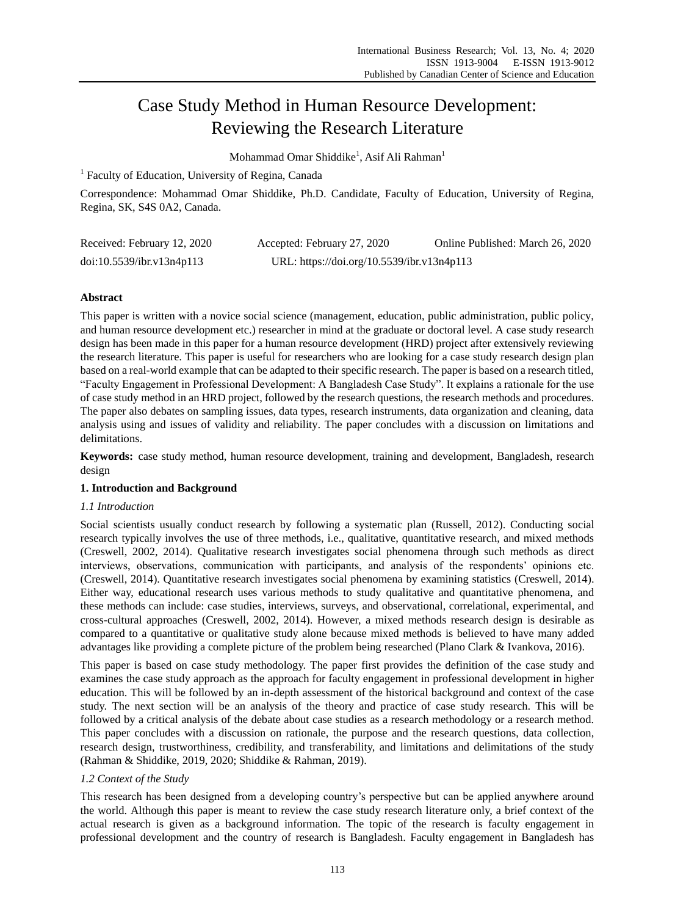# Case Study Method in Human Resource Development: Reviewing the Research Literature

Mohammad Omar Shiddike<sup>1</sup>, Asif Ali Rahman<sup>1</sup>

<sup>1</sup> Faculty of Education, University of Regina, Canada

Correspondence: Mohammad Omar Shiddike, Ph.D. Candidate, Faculty of Education, University of Regina, Regina, SK, S4S 0A2, Canada.

| Received: February 12, 2020 | Accepted: February 27, 2020                | Online Published: March 26, 2020 |
|-----------------------------|--------------------------------------------|----------------------------------|
| doi:10.5539/ibr.v13n4p113   | URL: https://doi.org/10.5539/ibr.v13n4p113 |                                  |

# **Abstract**

This paper is written with a novice social science (management, education, public administration, public policy, and human resource development etc.) researcher in mind at the graduate or doctoral level. A case study research design has been made in this paper for a human resource development (HRD) project after extensively reviewing the research literature. This paper is useful for researchers who are looking for a case study research design plan based on a real-world example that can be adapted to their specific research. The paper is based on a research titled, "Faculty Engagement in Professional Development: A Bangladesh Case Study". It explains a rationale for the use of case study method in an HRD project, followed by the research questions, the research methods and procedures. The paper also debates on sampling issues, data types, research instruments, data organization and cleaning, data analysis using and issues of validity and reliability. The paper concludes with a discussion on limitations and delimitations.

**Keywords:** case study method, human resource development, training and development, Bangladesh, research design

## **1. Introduction and Background**

## *1.1 Introduction*

Social scientists usually conduct research by following a systematic plan [\(Russell, 2012\)](#page-10-0). Conducting social research typically involves the use of three methods, i.e., qualitative, quantitative research, and mixed methods [\(Creswell, 2002,](#page-9-0) [2014\)](#page-9-1). Qualitative research investigates social phenomena through such methods as direct interviews, observations, communication with participants, and analysis of the respondents' opinions etc. [\(Creswell, 2014\)](#page-9-1). Quantitative research investigates social phenomena by examining statistics [\(Creswell, 2014\)](#page-9-1). Either way, educational research uses various methods to study qualitative and quantitative phenomena, and these methods can include: case studies, interviews, surveys, and observational, correlational, experimental, and cross-cultural approaches [\(Creswell, 2002,](#page-9-0) [2014\)](#page-9-1). However, a mixed methods research design is desirable as compared to a quantitative or qualitative study alone because mixed methods is believed to have many added advantages like providing a complete picture of the problem being researched [\(Plano Clark & Ivankova, 2016\)](#page-10-1).

This paper is based on case study methodology. The paper first provides the definition of the case study and examines the case study approach as the approach for faculty engagement in professional development in higher education. This will be followed by an in-depth assessment of the historical background and context of the case study. The next section will be an analysis of the theory and practice of case study research. This will be followed by a critical analysis of the debate about case studies as a research methodology or a research method. This paper concludes with a discussion on rationale, the purpose and the research questions, data collection, research design, trustworthiness, credibility, and transferability, and limitations and delimitations of the study [\(Rahman & Shiddike, 2019,](#page-10-2) [2020;](#page-10-3) [Shiddike & Rahman, 2019\)](#page-10-4).

## *1.2 Context of the Study*

This research has been designed from a developing country's perspective but can be applied anywhere around the world. Although this paper is meant to review the case study research literature only, a brief context of the actual research is given as a background information. The topic of the research is faculty engagement in professional development and the country of research is Bangladesh. Faculty engagement in Bangladesh has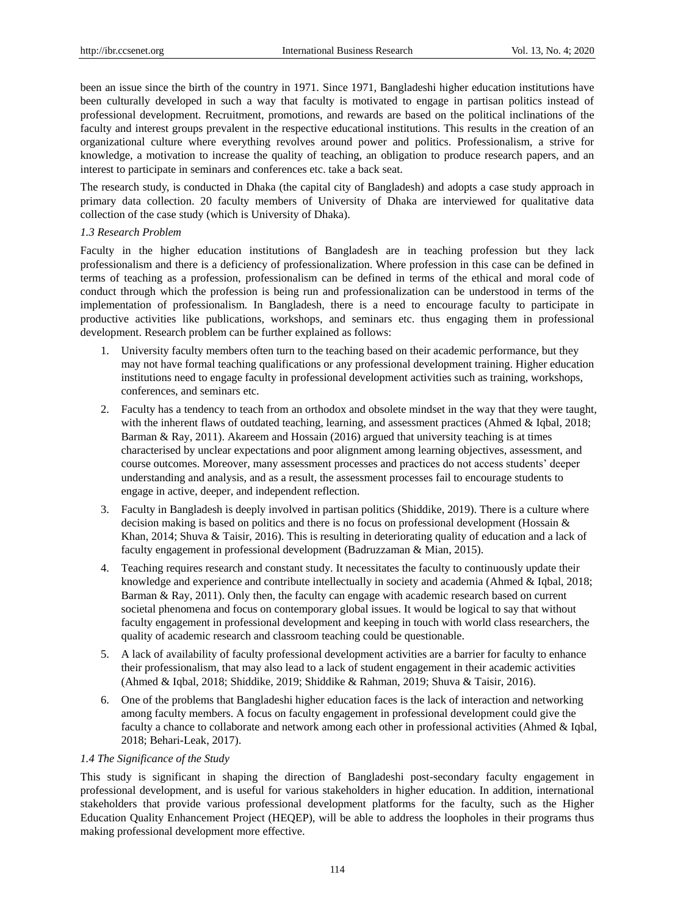been an issue since the birth of the country in 1971. Since 1971, Bangladeshi higher education institutions have been culturally developed in such a way that faculty is motivated to engage in partisan politics instead of professional development. Recruitment, promotions, and rewards are based on the political inclinations of the faculty and interest groups prevalent in the respective educational institutions. This results in the creation of an organizational culture where everything revolves around power and politics. Professionalism, a strive for knowledge, a motivation to increase the quality of teaching, an obligation to produce research papers, and an interest to participate in seminars and conferences etc. take a back seat.

The research study, is conducted in Dhaka (the capital city of Bangladesh) and adopts a case study approach in primary data collection. 20 faculty members of University of Dhaka are interviewed for qualitative data collection of the case study (which is University of Dhaka).

# *1.3 Research Problem*

Faculty in the higher education institutions of Bangladesh are in teaching profession but they lack professionalism and there is a deficiency of professionalization. Where profession in this case can be defined in terms of teaching as a profession, professionalism can be defined in terms of the ethical and moral code of conduct through which the profession is being run and professionalization can be understood in terms of the implementation of professionalism. In Bangladesh, there is a need to encourage faculty to participate in productive activities like publications, workshops, and seminars etc. thus engaging them in professional development. Research problem can be further explained as follows:

- 1. University faculty members often turn to the teaching based on their academic performance, but they may not have formal teaching qualifications or any professional development training. Higher education institutions need to engage faculty in professional development activities such as training, workshops, conferences, and seminars etc.
- 2. Faculty has a tendency to teach from an orthodox and obsolete mindset in the way that they were taught, with the inherent flaws of outdated teaching, learning, and assessment practices [\(Ahmed & Iqbal, 2018;](#page-8-0) [Barman & Ray, 2011\)](#page-9-2). [Akareem and Hossain \(2016\)](#page-8-1) argued that university teaching is at times characterised by unclear expectations and poor alignment among learning objectives, assessment, and course outcomes. Moreover, many assessment processes and practices do not access students' deeper understanding and analysis, and as a result, the assessment processes fail to encourage students to engage in active, deeper, and independent reflection.
- 3. Faculty in Bangladesh is deeply involved in partisan politics [\(Shiddike, 2019\)](#page-10-5). There is a culture where decision making is based on politics and there is no focus on professional development (Hossain & Khan[, 2014;](#page-9-3) [Shuva & Taisir, 2016\)](#page-10-6). This is resulting in deteriorating quality of education and a lack of faculty engagement in professional development [\(Badruzzaman & Mian, 2015\)](#page-8-2).
- 4. Teaching requires research and constant study. It necessitates the faculty to continuously update their knowledge and experience and contribute intellectually in society and academia [\(Ahmed & Iqbal, 2018;](#page-8-0) [Barman & Ray, 2011\)](#page-9-2). Only then, the faculty can engage with academic research based on current societal phenomena and focus on contemporary global issues. It would be logical to say that without faculty engagement in professional development and keeping in touch with world class researchers, the quality of academic research and classroom teaching could be questionable.
- 5. A lack of availability of faculty professional development activities are a barrier for faculty to enhance their professionalism, that may also lead to a lack of student engagement in their academic activities [\(Ahmed & Iqbal, 2018;](#page-8-0) [Shiddike, 2019;](#page-10-5) [Shiddike & Rahman, 2019;](#page-10-4) [Shuva & Taisir, 2016\)](#page-10-6).
- 6. One of the problems that Bangladeshi higher education faces is the lack of interaction and networking among faculty members. A focus on faculty engagement in professional development could give the faculty a chance to collaborate and network among each other in professional activities [\(Ahmed & Iqbal,](#page-8-0)  [2018;](#page-8-0) [Behari-Leak, 2017\)](#page-9-4).

## *1.4 The Significance of the Study*

This study is significant in shaping the direction of Bangladeshi post-secondary faculty engagement in professional development, and is useful for various stakeholders in higher education. In addition, international stakeholders that provide various professional development platforms for the faculty, such as the Higher Education Quality Enhancement Project (HEQEP), will be able to address the loopholes in their programs thus making professional development more effective.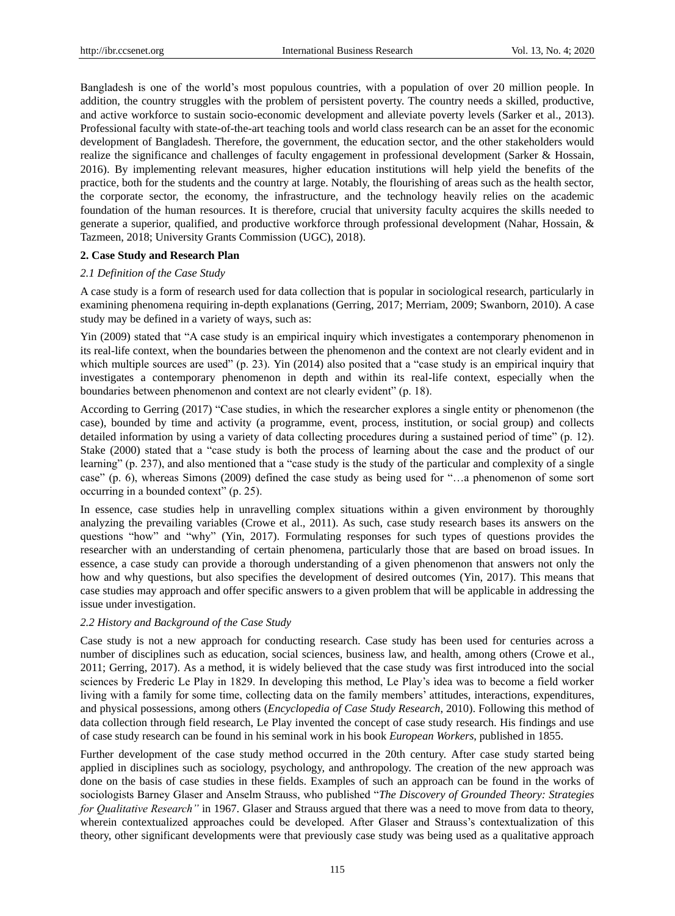Bangladesh is one of the world's most populous countries, with a population of over 20 million people. In addition, the country struggles with the problem of persistent poverty. The country needs a skilled, productive, and active workforce to sustain socio-economic development and alleviate poverty levels [\(Sarker et al., 2013\)](#page-10-7). Professional faculty with state-of-the-art teaching tools and world class research can be an asset for the economic development of Bangladesh. Therefore, the government, the education sector, and the other stakeholders would realize the significance and challenges of faculty engagement in professional development [\(Sarker & Hossain,](#page-10-8)  [2016\)](#page-10-8). By implementing relevant measures, higher education institutions will help yield the benefits of the practice, both for the students and the country at large. Notably, the flourishing of areas such as the health sector, the corporate sector, the economy, the infrastructure, and the technology heavily relies on the academic foundation of the human resources. It is therefore, crucial that university faculty acquires the skills needed to generate a superior, qualified, and productive workforce through professional development [\(Nahar, Hossain, &](#page-10-9)  [Tazmeen, 2018;](#page-10-9) [University Grants Commission \(UGC\), 2018\)](#page-11-0).

## **2. Case Study and Research Plan**

#### *2.1 Definition of the Case Study*

A case study is a form of research used for data collection that is popular in sociological research, particularly in examining phenomena requiring in-depth explanations [\(Gerring, 2017;](#page-9-5) [Merriam, 2009;](#page-10-10) [Swanborn, 2010\)](#page-11-1). A case study may be defined in a variety of ways, such as:

[Yin \(2009\)](#page-11-2) stated that "A case study is an empirical inquiry which investigates a contemporary phenomenon in its real-life context, when the boundaries between the phenomenon and the context are not clearly evident and in which multiple sources are used" (p. 23). [Yin \(2014\)](#page-11-3) also posited that a "case study is an empirical inquiry that investigates a contemporary phenomenon in depth and within its real-life context, especially when the boundaries between phenomenon and context are not clearly evident" (p. 18).

According to [Gerring \(2017\)](#page-9-5) "Case studies, in which the researcher explores a single entity or phenomenon (the case), bounded by time and activity (a programme, event, process, institution, or social group) and collects detailed information by using a variety of data collecting procedures during a sustained period of time" (p. 12). [Stake \(2000\)](#page-11-4) stated that a "case study is both the process of learning about the case and the product of our learning" (p. 237), and also mentioned that a "case study is the study of the particular and complexity of a single case" (p. 6), whereas [Simons \(2009\)](#page-11-5) defined the case study as being used for "…a phenomenon of some sort occurring in a bounded context" (p. 25).

In essence, case studies help in unravelling complex situations within a given environment by thoroughly analyzing the prevailing variables [\(Crowe et al., 2011\)](#page-9-6). As such, case study research bases its answers on the questions "how" and "why" [\(Yin, 2017\)](#page-11-6). Formulating responses for such types of questions provides the researcher with an understanding of certain phenomena, particularly those that are based on broad issues. In essence, a case study can provide a thorough understanding of a given phenomenon that answers not only the how and why questions, but also specifies the development of desired outcomes [\(Yin, 2017\)](#page-11-6). This means that case studies may approach and offer specific answers to a given problem that will be applicable in addressing the issue under investigation.

#### *2.2 History and Background of the Case Study*

Case study is not a new approach for conducting research. Case study has been used for centuries across a number of disciplines such as education, social sciences, business law, and health, among others [\(Crowe et al.,](#page-9-6)  [2011;](#page-9-6) [Gerring, 2017\)](#page-9-5). As a method, it is widely believed that the case study was first introduced into the social sciences by Frederic Le Play in 1829. In developing this method, Le Play's idea was to become a field worker living with a family for some time, collecting data on the family members' attitudes, interactions, expenditures, and physical possessions, among others (*[Encyclopedia of Case Study Research](#page-9-7)*, 2010). Following this method of data collection through field research, Le Play invented the concept of case study research. His findings and use of case study research can be found in his seminal work in his book *European Workers*, published in 1855.

Further development of the case study method occurred in the 20th century. After case study started being applied in disciplines such as sociology, psychology, and anthropology. The creation of the new approach was done on the basis of case studies in these fields. Examples of such an approach can be found in the works of sociologists Barney Glaser and Anselm Strauss, who published "*The Discovery of Grounded Theory: Strategies for Qualitative Research"* in 1967. Glaser and Strauss argued that there was a need to move from data to theory, wherein contextualized approaches could be developed. After Glaser and Strauss's contextualization of this theory, other significant developments were that previously case study was being used as a qualitative approach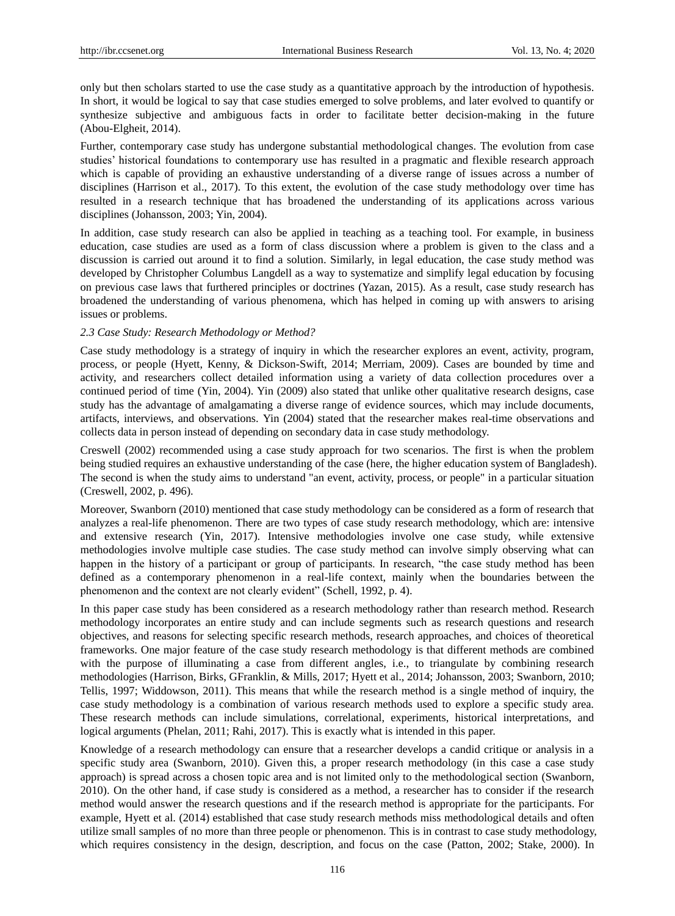only but then scholars started to use the case study as a quantitative approach by the introduction of hypothesis. In short, it would be logical to say that case studies emerged to solve problems, and later evolved to quantify or synthesize subjective and ambiguous facts in order to facilitate better decision-making in the future [\(Abou-Elgheit, 2014\)](#page-8-3).

Further, contemporary case study has undergone substantial methodological changes. The evolution from case studies' historical foundations to contemporary use has resulted in a pragmatic and flexible research approach which is capable of providing an exhaustive understanding of a diverse range of issues across a number of disciplines (Harrison et al., 2017). To this extent, the evolution of the case study methodology over time has resulted in a research technique that has broadened the understanding of its applications across various disciplines [\(Johansson, 2003;](#page-10-11) [Yin, 2004\)](#page-11-7).

In addition, case study research can also be applied in teaching as a teaching tool. For example, in business education, case studies are used as a form of class discussion where a problem is given to the class and a discussion is carried out around it to find a solution. Similarly, in legal education, the case study method was developed by Christopher Columbus Langdell as a way to systematize and simplify legal education by focusing on previous case laws that furthered principles or doctrines [\(Yazan, 2015\)](#page-11-8). As a result, case study research has broadened the understanding of various phenomena, which has helped in coming up with answers to arising issues or problems.

## *2.3 Case Study: Research Methodology or Method?*

Case study methodology is a strategy of inquiry in which the researcher explores an event, activity, program, process, or people [\(Hyett, Kenny, & Dickson-Swift, 2014;](#page-9-8) [Merriam, 2009\)](#page-10-10). Cases are bounded by time and activity, and researchers collect detailed information using a variety of data collection procedures over a continued period of time [\(Yin, 2004\)](#page-11-7). [Yin \(2009\)](#page-11-2) also stated that unlike other qualitative research designs, case study has the advantage of amalgamating a diverse range of evidence sources, which may include documents, artifacts, interviews, and observations. [Yin \(2004\)](#page-11-7) stated that the researcher makes real-time observations and collects data in person instead of depending on secondary data in case study methodology.

[Creswell \(2002\)](#page-9-0) recommended using a case study approach for two scenarios. The first is when the problem being studied requires an exhaustive understanding of the case (here, the higher education system of Bangladesh). The second is when the study aims to understand "an event, activity, process, or people" in a particular situation [\(Creswell, 2002, p. 496\)](#page-9-0).

Moreover, [Swanborn \(2010\)](#page-11-1) mentioned that case study methodology can be considered as a form of research that analyzes a real-life phenomenon. There are two types of case study research methodology, which are: intensive and extensive research [\(Yin, 2017\)](#page-11-6). Intensive methodologies involve one case study, while extensive methodologies involve multiple case studies. The case study method can involve simply observing what can happen in the history of a participant or group of participants. In research, "the case study method has been defined as a contemporary phenomenon in a real-life context, mainly when the boundaries between the phenomenon and the context are not clearly evident" [\(Schell, 1992, p. 4\)](#page-10-12).

In this paper case study has been considered as a research methodology rather than research method. Research methodology incorporates an entire study and can include segments such as research questions and research objectives, and reasons for selecting specific research methods, research approaches, and choices of theoretical frameworks. One major feature of the case study research methodology is that different methods are combined with the purpose of illuminating a case from different angles, i.e., to triangulate by combining research methodologies [\(Harrison, Birks, GFranklin, & Mills, 2017;](#page-9-9) [Hyett et al., 2014;](#page-9-8) [Johansson, 2003;](#page-10-11) [Swanborn, 2010;](#page-11-1) [Tellis, 1997;](#page-11-9) [Widdowson, 2011\)](#page-11-10). This means that while the research method is a single method of inquiry, the case study methodology is a combination of various research methods used to explore a specific study area. These research methods can include simulations, correlational, experiments, historical interpretations, and logical arguments [\(Phelan, 2011;](#page-10-13) [Rahi, 2017\)](#page-10-14). This is exactly what is intended in this paper.

Knowledge of a research methodology can ensure that a researcher develops a candid critique or analysis in a specific study area [\(Swanborn, 2010\)](#page-11-1). Given this, a proper research methodology (in this case a case study approach) is spread across a chosen topic area and is not limited only to the methodological section [\(Swanborn,](#page-11-1)  [2010\)](#page-11-1). On the other hand, if case study is considered as a method, a researcher has to consider if the research method would answer the research questions and if the research method is appropriate for the participants. For example, [Hyett et al. \(2014\)](#page-9-8) established that case study research methods miss methodological details and often utilize small samples of no more than three people or phenomenon. This is in contrast to case study methodology, which requires consistency in the design, description, and focus on the case [\(Patton, 2002;](#page-10-15) [Stake, 2000\)](#page-11-4). In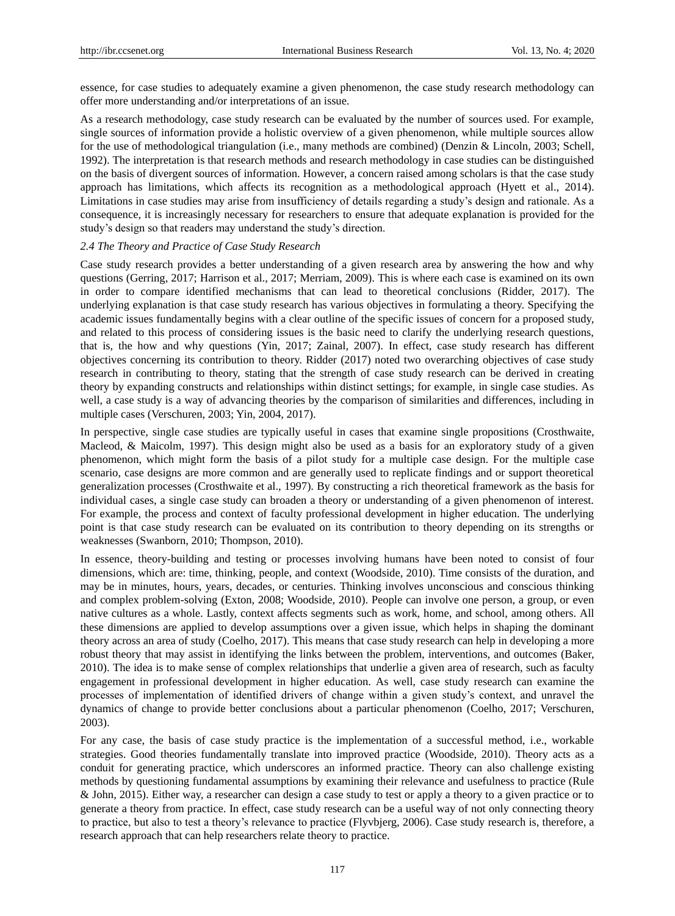essence, for case studies to adequately examine a given phenomenon, the case study research methodology can offer more understanding and/or interpretations of an issue.

As a research methodology, case study research can be evaluated by the number of sources used. For example, single sources of information provide a holistic overview of a given phenomenon, while multiple sources allow for the use of methodological triangulation (i.e., many methods are combined) [\(Denzin & Lincoln, 2003;](#page-9-10) [Schell,](#page-10-12)  [1992\)](#page-10-12). The interpretation is that research methods and research methodology in case studies can be distinguished on the basis of divergent sources of information. However, a concern raised among scholars is that the case study approach has limitations, which affects its recognition as a methodological approach [\(Hyett et al., 2014\)](#page-9-8). Limitations in case studies may arise from insufficiency of details regarding a study's design and rationale. As a consequence, it is increasingly necessary for researchers to ensure that adequate explanation is provided for the study's design so that readers may understand the study's direction.

#### *2.4 The Theory and Practice of Case Study Research*

Case study research provides a better understanding of a given research area by answering the how and why questions [\(Gerring, 2017;](#page-9-5) [Harrison et al., 2017;](#page-9-9) [Merriam, 2009\)](#page-10-10). This is where each case is examined on its own in order to compare identified mechanisms that can lead to theoretical conclusions [\(Ridder, 2017\)](#page-10-16). The underlying explanation is that case study research has various objectives in formulating a theory. Specifying the academic issues fundamentally begins with a clear outline of the specific issues of concern for a proposed study, and related to this process of considering issues is the basic need to clarify the underlying research questions, that is, the how and why questions [\(Yin, 2017;](#page-11-6) [Zainal, 2007\)](#page-11-11). In effect, case study research has different objectives concerning its contribution to theory. Ridder (2017) noted two overarching objectives of case study research in contributing to theory, stating that the strength of case study research can be derived in creating theory by expanding constructs and relationships within distinct settings; for example, in single case studies. As well, a case study is a way of advancing theories by the comparison of similarities and differences, including in multiple cases [\(Verschuren, 2003;](#page-11-12) [Yin, 2004,](#page-11-7) [2017\)](#page-11-6).

In perspective, single case studies are typically useful in cases that examine single propositions [\(Crosthwaite,](#page-9-11)  [Macleod, & Maicolm, 1997\)](#page-9-11). This design might also be used as a basis for an exploratory study of a given phenomenon, which might form the basis of a pilot study for a multiple case design. For the multiple case scenario, case designs are more common and are generally used to replicate findings and or support theoretical generalization processes [\(Crosthwaite et al., 1997\)](#page-9-11). By constructing a rich theoretical framework as the basis for individual cases, a single case study can broaden a theory or understanding of a given phenomenon of interest. For example, the process and context of faculty professional development in higher education. The underlying point is that case study research can be evaluated on its contribution to theory depending on its strengths or weaknesses [\(Swanborn, 2010;](#page-11-1) [Thompson, 2010\)](#page-11-13).

In essence, theory-building and testing or processes involving humans have been noted to consist of four dimensions, which are: time, thinking, people, and context [\(Woodside, 2010\)](#page-11-14). Time consists of the duration, and may be in minutes, hours, years, decades, or centuries. Thinking involves unconscious and conscious thinking and complex problem-solving [\(Exton, 2008;](#page-9-12) [Woodside, 2010\)](#page-11-14). People can involve one person, a group, or even native cultures as a whole. Lastly, context affects segments such as work, home, and school, among others. All these dimensions are applied to develop assumptions over a given issue, which helps in shaping the dominant theory across an area of study [\(Coelho, 2017\)](#page-9-13). This means that case study research can help in developing a more robust theory that may assist in identifying the links between the problem, interventions, and outcomes [\(Baker,](#page-8-4)  [2010\)](#page-8-4). The idea is to make sense of complex relationships that underlie a given area of research, such as faculty engagement in professional development in higher education. As well, case study research can examine the processes of implementation of identified drivers of change within a given study's context, and unravel the dynamics of change to provide better conclusions about a particular phenomenon [\(Coelho, 2017;](#page-9-13) [Verschuren,](#page-11-12)  [2003\)](#page-11-12).

For any case, the basis of case study practice is the implementation of a successful method, i.e., workable strategies. Good theories fundamentally translate into improved practice [\(Woodside, 2010\)](#page-11-14). Theory acts as a conduit for generating practice, which underscores an informed practice. Theory can also challenge existing methods by questioning fundamental assumptions by examining their relevance and usefulness to practice (Rule & John, 2015). Either way, a researcher can design a case study to test or apply a theory to a given practice or to generate a theory from practice. In effect, case study research can be a useful way of not only connecting theory to practice, but also to test a theory's relevance to practice [\(Flyvbjerg, 2006\)](#page-9-14). Case study research is, therefore, a research approach that can help researchers relate theory to practice.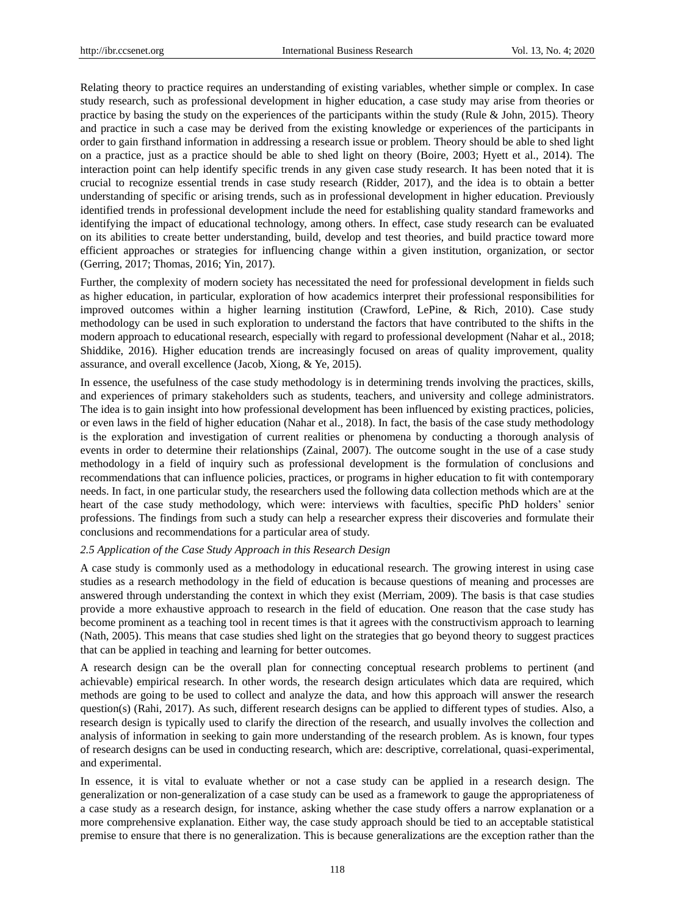Relating theory to practice requires an understanding of existing variables, whether simple or complex. In case study research, such as professional development in higher education, a case study may arise from theories or practice by basing the study on the experiences of the participants within the study (Rule  $\&$  John, 2015). Theory and practice in such a case may be derived from the existing knowledge or experiences of the participants in order to gain firsthand information in addressing a research issue or problem. Theory should be able to shed light on a practice, just as a practice should be able to shed light on theory [\(Boire, 2003;](#page-9-15) [Hyett et al., 2014\)](#page-9-8). The interaction point can help identify specific trends in any given case study research. It has been noted that it is crucial to recognize essential trends in case study research [\(Ridder, 2017\)](#page-10-16), and the idea is to obtain a better understanding of specific or arising trends, such as in professional development in higher education. Previously identified trends in professional development include the need for establishing quality standard frameworks and identifying the impact of educational technology, among others. In effect, case study research can be evaluated on its abilities to create better understanding, build, develop and test theories, and build practice toward more efficient approaches or strategies for influencing change within a given institution, organization, or sector [\(Gerring, 2017;](#page-9-5) [Thomas, 2016;](#page-11-15) [Yin, 2017\)](#page-11-6).

Further, the complexity of modern society has necessitated the need for professional development in fields such as higher education, in particular, exploration of how academics interpret their professional responsibilities for improved outcomes within a higher learning institution [\(Crawford, LePine, & Rich, 2010\)](#page-9-16). Case study methodology can be used in such exploration to understand the factors that have contributed to the shifts in the modern approach to educational research, especially with regard to professional development [\(Nahar et al., 2018;](#page-10-9) [Shiddike, 2016\)](#page-10-18). Higher education trends are increasingly focused on areas of quality improvement, quality assurance, and overall excellence [\(Jacob, Xiong, & Ye, 2015\)](#page-9-17).

In essence, the usefulness of the case study methodology is in determining trends involving the practices, skills, and experiences of primary stakeholders such as students, teachers, and university and college administrators. The idea is to gain insight into how professional development has been influenced by existing practices, policies, or even laws in the field of higher education [\(Nahar et al., 2018\)](#page-10-9). In fact, the basis of the case study methodology is the exploration and investigation of current realities or phenomena by conducting a thorough analysis of events in order to determine their relationships [\(Zainal, 2007\)](#page-11-11). The outcome sought in the use of a case study methodology in a field of inquiry such as professional development is the formulation of conclusions and recommendations that can influence policies, practices, or programs in higher education to fit with contemporary needs. In fact, in one particular study, the researchers used the following data collection methods which are at the heart of the case study methodology, which were: interviews with faculties, specific PhD holders' senior professions. The findings from such a study can help a researcher express their discoveries and formulate their conclusions and recommendations for a particular area of study.

## *2.5 Application of the Case Study Approach in this Research Design*

A case study is commonly used as a methodology in educational research. The growing interest in using case studies as a research methodology in the field of education is because questions of meaning and processes are answered through understanding the context in which they exist [\(Merriam, 2009\)](#page-10-10). The basis is that case studies provide a more exhaustive approach to research in the field of education. One reason that the case study has become prominent as a teaching tool in recent times is that it agrees with the constructivism approach to learning [\(Nath, 2005\)](#page-10-19). This means that case studies shed light on the strategies that go beyond theory to suggest practices that can be applied in teaching and learning for better outcomes.

A research design can be the overall plan for connecting conceptual research problems to pertinent (and achievable) empirical research. In other words, the research design articulates which data are required, which methods are going to be used to collect and analyze the data, and how this approach will answer the research question(s) [\(Rahi, 2017\)](#page-10-14). As such, different research designs can be applied to different types of studies. Also, a research design is typically used to clarify the direction of the research, and usually involves the collection and analysis of information in seeking to gain more understanding of the research problem. As is known, four types of research designs can be used in conducting research, which are: descriptive, correlational, quasi-experimental, and experimental.

In essence, it is vital to evaluate whether or not a case study can be applied in a research design. The generalization or non-generalization of a case study can be used as a framework to gauge the appropriateness of a case study as a research design, for instance, asking whether the case study offers a narrow explanation or a more comprehensive explanation. Either way, the case study approach should be tied to an acceptable statistical premise to ensure that there is no generalization. This is because generalizations are the exception rather than the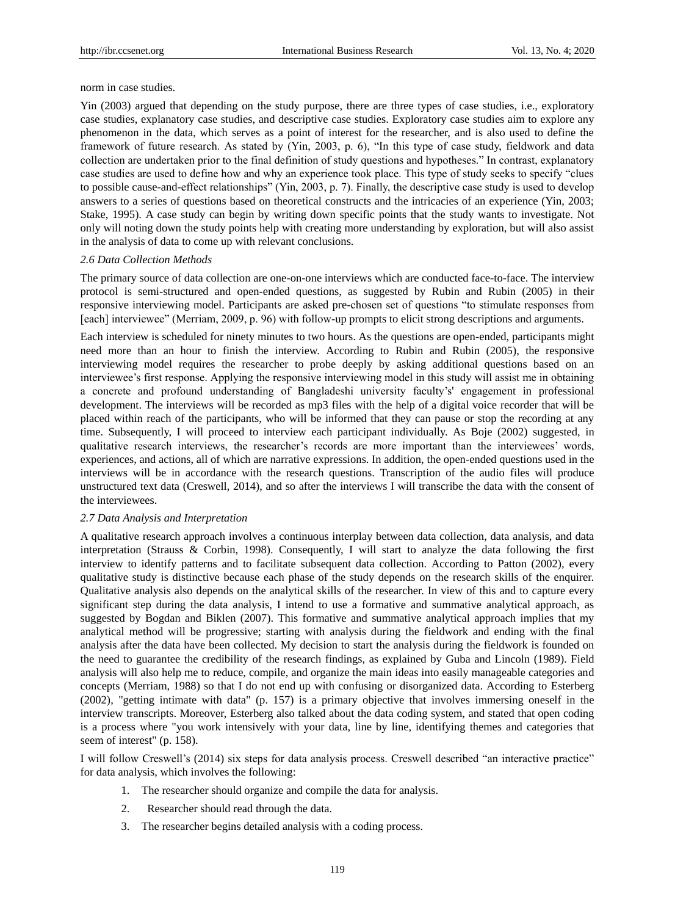norm in case studies.

Yin (2003) argued that depending on the study purpose, there are three types of case studies, i.e., exploratory case studies, explanatory case studies, and descriptive case studies. Exploratory case studies aim to explore any phenomenon in the data, which serves as a point of interest for the researcher, and is also used to define the framework of future research. As stated by (Yin, 2003, p. 6), "In this type of case study, fieldwork and data collection are undertaken prior to the final definition of study questions and hypotheses." In contrast, explanatory case studies are used to define how and why an experience took place. This type of study seeks to specify "clues to possible cause-and-effect relationships" (Yin, 2003, p. 7). Finally, the descriptive case study is used to develop answers to a series of questions based on theoretical constructs and the intricacies of an experience (Yin, 2003; Stake, 1995). A case study can begin by writing down specific points that the study wants to investigate. Not only will noting down the study points help with creating more understanding by exploration, but will also assist in the analysis of data to come up with relevant conclusions.

## *2.6 Data Collection Methods*

The primary source of data collection are one-on-one interviews which are conducted face-to-face. The interview protocol is semi-structured and open-ended questions, as suggested by [Rubin and Rubin \(2005\)](#page-10-20) in their responsive interviewing model. Participants are asked pre-chosen set of questions "to stimulate responses from [each] interviewee" (Merriam, 2009, p. 96) with follow-up prompts to elicit strong descriptions and arguments.

Each interview is scheduled for ninety minutes to two hours. As the questions are open-ended, participants might need more than an hour to finish the interview. According to [Rubin and Rubin \(2005\),](#page-10-20) the responsive interviewing model requires the researcher to probe deeply by asking additional questions based on an interviewee's first response. Applying the responsive interviewing model in this study will assist me in obtaining a concrete and profound understanding of Bangladeshi university faculty's' engagement in professional development. The interviews will be recorded as mp3 files with the help of a digital voice recorder that will be placed within reach of the participants, who will be informed that they can pause or stop the recording at any time. Subsequently, I will proceed to interview each participant individually. As [Boje \(2002\)](#page-9-18) suggested, in qualitative research interviews, the researcher's records are more important than the interviewees' words, experiences, and actions, all of which are narrative expressions. In addition, the open-ended questions used in the interviews will be in accordance with the research questions. Transcription of the audio files will produce unstructured text data [\(Creswell, 2014\)](#page-9-1), and so after the interviews I will transcribe the data with the consent of the interviewees.

#### *2.7 Data Analysis and Interpretation*

A qualitative research approach involves a continuous interplay between data collection, data analysis, and data interpretation [\(Strauss & Corbin, 1998\)](#page-11-16). Consequently, I will start to analyze the data following the first interview to identify patterns and to facilitate subsequent data collection. According to [Patton \(2002\),](#page-10-15) every qualitative study is distinctive because each phase of the study depends on the research skills of the enquirer. Qualitative analysis also depends on the analytical skills of the researcher. In view of this and to capture every significant step during the data analysis, I intend to use a formative and summative analytical approach, as suggested by [Bogdan and Biklen \(2007\).](#page-9-19) This formative and summative analytical approach implies that my analytical method will be progressive; starting with analysis during the fieldwork and ending with the final analysis after the data have been collected. My decision to start the analysis during the fieldwork is founded on the need to guarantee the credibility of the research findings, as explained by [Guba and Lincoln \(1989\).](#page-9-20) Field analysis will also help me to reduce, compile, and organize the main ideas into easily manageable categories and concepts [\(Merriam, 1988\)](#page-10-21) so that I do not end up with confusing or disorganized data. According to [Esterberg](#page-9-21)  (2002), "getting intimate with data" (p. 157) is a primary objective that involves immersing oneself in the interview transcripts. Moreover, Esterberg also talked about the data coding system, and stated that open coding is a process where "you work intensively with your data, line by line, identifying themes and categories that seem of interest" (p. 158).

I will follow Creswell's [\(2014\)](#page-9-1) six steps for data analysis process. Creswell described "an interactive practice" for data analysis, which involves the following:

- 1. The researcher should organize and compile the data for analysis.
- 2. Researcher should read through the data.
- 3. The researcher begins detailed analysis with a coding process.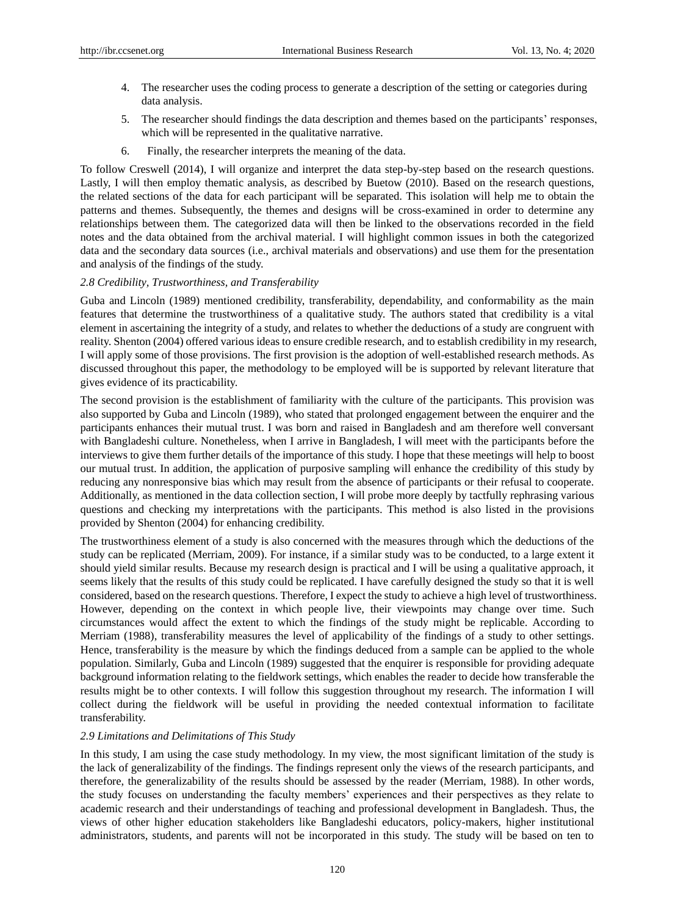- 4. The researcher uses the coding process to generate a description of the setting or categories during data analysis.
- 5. The researcher should findings the data description and themes based on the participants' responses, which will be represented in the qualitative narrative.
- 6. Finally, the researcher interprets the meaning of the data.

To follow Creswell (2014), I will organize and interpret the data step-by-step based on the research questions. Lastly, I will then employ thematic analysis, as described by [Buetow \(2010\).](#page-9-22) Based on the research questions, the related sections of the data for each participant will be separated. This isolation will help me to obtain the patterns and themes. Subsequently, the themes and designs will be cross-examined in order to determine any relationships between them. The categorized data will then be linked to the observations recorded in the field notes and the data obtained from the archival material. I will highlight common issues in both the categorized data and the secondary data sources (i.e., archival materials and observations) and use them for the presentation and analysis of the findings of the study.

## *2.8 Credibility, Trustworthiness, and Transferability*

[Guba and Lincoln \(1989\)](#page-9-20) mentioned credibility, transferability, dependability, and conformability as the main features that determine the trustworthiness of a qualitative study. The authors stated that credibility is a vital element in ascertaining the integrity of a study, and relates to whether the deductions of a study are congruent with reality[. Shenton \(2004\)](#page-10-22) offered various ideas to ensure credible research, and to establish credibility in my research, I will apply some of those provisions. The first provision is the adoption of well-established research methods. As discussed throughout this paper, the methodology to be employed will be is supported by relevant literature that gives evidence of its practicability.

The second provision is the establishment of familiarity with the culture of the participants. This provision was also supported by [Guba and Lincoln \(1989\),](#page-9-20) who stated that prolonged engagement between the enquirer and the participants enhances their mutual trust. I was born and raised in Bangladesh and am therefore well conversant with Bangladeshi culture. Nonetheless, when I arrive in Bangladesh, I will meet with the participants before the interviews to give them further details of the importance of this study. I hope that these meetings will help to boost our mutual trust. In addition, the application of purposive sampling will enhance the credibility of this study by reducing any nonresponsive bias which may result from the absence of participants or their refusal to cooperate. Additionally, as mentioned in the data collection section, I will probe more deeply by tactfully rephrasing various questions and checking my interpretations with the participants. This method is also listed in the provisions provided by [Shenton \(2004\)](#page-10-22) for enhancing credibility.

The trustworthiness element of a study is also concerned with the measures through which the deductions of the study can be replicated [\(Merriam, 2009\)](#page-10-10). For instance, if a similar study was to be conducted, to a large extent it should yield similar results. Because my research design is practical and I will be using a qualitative approach, it seems likely that the results of this study could be replicated. I have carefully designed the study so that it is well considered, based on the research questions. Therefore, I expect the study to achieve a high level of trustworthiness. However, depending on the context in which people live, their viewpoints may change over time. Such circumstances would affect the extent to which the findings of the study might be replicable. According to [Merriam \(1988\),](#page-10-21) transferability measures the level of applicability of the findings of a study to other settings. Hence, transferability is the measure by which the findings deduced from a sample can be applied to the whole population. Similarly, [Guba and Lincoln \(1989\)](#page-9-20) suggested that the enquirer is responsible for providing adequate background information relating to the fieldwork settings, which enables the reader to decide how transferable the results might be to other contexts. I will follow this suggestion throughout my research. The information I will collect during the fieldwork will be useful in providing the needed contextual information to facilitate transferability.

## *2.9 Limitations and Delimitations of This Study*

In this study, I am using the case study methodology. In my view, the most significant limitation of the study is the lack of generalizability of the findings. The findings represent only the views of the research participants, and therefore, the generalizability of the results should be assessed by the reader (Merriam, 1988). In other words, the study focuses on understanding the faculty members' experiences and their perspectives as they relate to academic research and their understandings of teaching and professional development in Bangladesh. Thus, the views of other higher education stakeholders like Bangladeshi educators, policy-makers, higher institutional administrators, students, and parents will not be incorporated in this study. The study will be based on ten to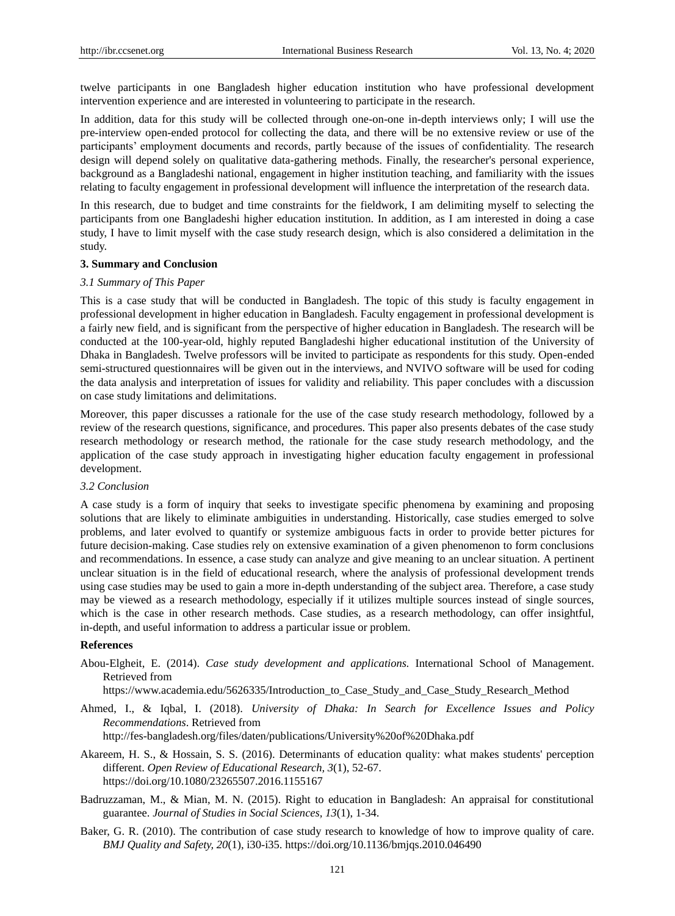twelve participants in one Bangladesh higher education institution who have professional development intervention experience and are interested in volunteering to participate in the research.

In addition, data for this study will be collected through one-on-one in-depth interviews only; I will use the pre-interview open-ended protocol for collecting the data, and there will be no extensive review or use of the participants' employment documents and records, partly because of the issues of confidentiality. The research design will depend solely on qualitative data-gathering methods. Finally, the researcher's personal experience, background as a Bangladeshi national, engagement in higher institution teaching, and familiarity with the issues relating to faculty engagement in professional development will influence the interpretation of the research data.

In this research, due to budget and time constraints for the fieldwork, I am delimiting myself to selecting the participants from one Bangladeshi higher education institution. In addition, as I am interested in doing a case study, I have to limit myself with the case study research design, which is also considered a delimitation in the study.

#### **3. Summary and Conclusion**

#### *3.1 Summary of This Paper*

This is a case study that will be conducted in Bangladesh. The topic of this study is faculty engagement in professional development in higher education in Bangladesh. Faculty engagement in professional development is a fairly new field, and is significant from the perspective of higher education in Bangladesh. The research will be conducted at the 100-year-old, highly reputed Bangladeshi higher educational institution of the University of Dhaka in Bangladesh. Twelve professors will be invited to participate as respondents for this study. Open-ended semi-structured questionnaires will be given out in the interviews, and NVIVO software will be used for coding the data analysis and interpretation of issues for validity and reliability. This paper concludes with a discussion on case study limitations and delimitations.

Moreover, this paper discusses a rationale for the use of the case study research methodology, followed by a review of the research questions, significance, and procedures. This paper also presents debates of the case study research methodology or research method, the rationale for the case study research methodology, and the application of the case study approach in investigating higher education faculty engagement in professional development.

#### *3.2 Conclusion*

A case study is a form of inquiry that seeks to investigate specific phenomena by examining and proposing solutions that are likely to eliminate ambiguities in understanding. Historically, case studies emerged to solve problems, and later evolved to quantify or systemize ambiguous facts in order to provide better pictures for future decision-making. Case studies rely on extensive examination of a given phenomenon to form conclusions and recommendations. In essence, a case study can analyze and give meaning to an unclear situation. A pertinent unclear situation is in the field of educational research, where the analysis of professional development trends using case studies may be used to gain a more in-depth understanding of the subject area. Therefore, a case study may be viewed as a research methodology, especially if it utilizes multiple sources instead of single sources, which is the case in other research methods. Case studies, as a research methodology, can offer insightful, in-depth, and useful information to address a particular issue or problem.

## **References**

<span id="page-8-3"></span>Abou-Elgheit, E. (2014). *Case study development and applications.* International School of Management. Retrieved from

[https://www.academia.edu/5626335/Introduction\\_to\\_Case\\_Study\\_and\\_Case\\_Study\\_Research\\_Method](https://www.academia.edu/5626335/Introduction_to_Case_Study_and_Case_Study_Research_Method)

<span id="page-8-0"></span>Ahmed, I., & Iqbal, I. (2018). *University of Dhaka: In Search for Excellence Issues and Policy Recommendations*. Retrieved from

<http://fes-bangladesh.org/files/daten/publications/University%20of%20Dhaka.pdf>

- <span id="page-8-1"></span>Akareem, H. S., & Hossain, S. S. (2016). Determinants of education quality: what makes students' perception different. *Open Review of Educational Research, 3*(1), 52-67. <https://doi.org/10.1080/23265507.2016.1155167>
- <span id="page-8-2"></span>Badruzzaman, M., & Mian, M. N. (2015). Right to education in Bangladesh: An appraisal for constitutional guarantee. *Journal of Studies in Social Sciences, 13*(1), 1-34.
- <span id="page-8-4"></span>Baker, G. R. (2010). The contribution of case study research to knowledge of how to improve quality of care. *BMJ Quality and Safety, 20*(1), i30-i35. https://doi.org/10.1136/bmjqs.2010.046490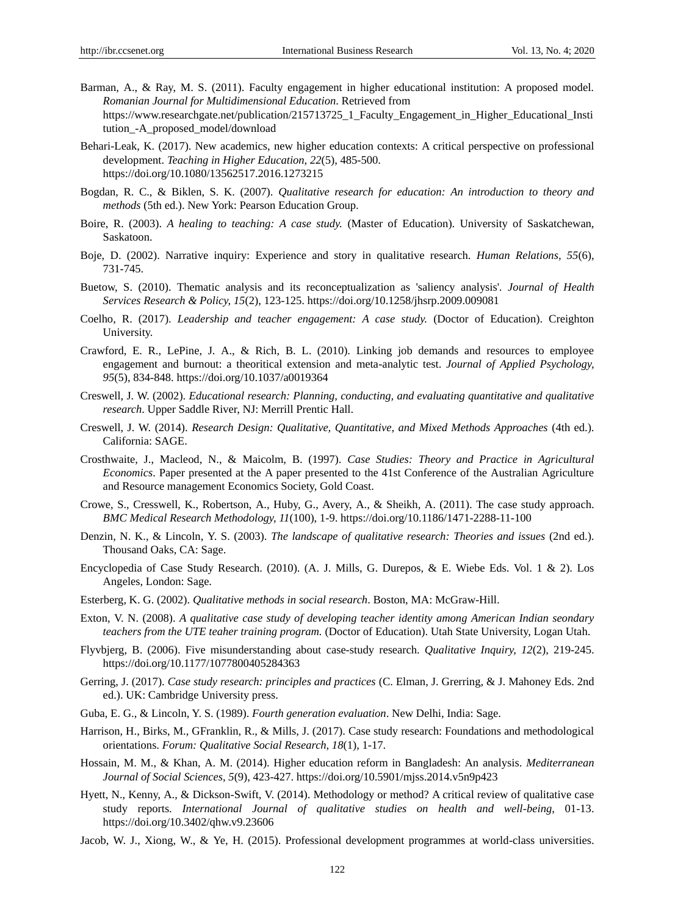- <span id="page-9-2"></span>Barman, A., & Ray, M. S. (2011). Faculty engagement in higher educational institution: A proposed model. *Romanian Journal for Multidimensional Education*. Retrieved from [https://www.researchgate.net/publication/215713725\\_1\\_Faculty\\_Engagement\\_in\\_Higher\\_Educational\\_Insti](https://www.researchgate.net/publication/215713725_1_Faculty_Engagement_in_Higher_Educational_Institution_-A_proposed_model/download) [tution\\_-A\\_proposed\\_model/download](https://www.researchgate.net/publication/215713725_1_Faculty_Engagement_in_Higher_Educational_Institution_-A_proposed_model/download)
- <span id="page-9-4"></span>Behari-Leak, K. (2017). New academics, new higher education contexts: A critical perspective on professional development. *Teaching in Higher Education, 22*(5), 485-500. <https://doi.org/10.1080/13562517.2016.1273215>
- <span id="page-9-19"></span>Bogdan, R. C., & Biklen, S. K. (2007). *Qualitative research for education: An introduction to theory and methods* (5th ed.). New York: Pearson Education Group.
- <span id="page-9-15"></span>Boire, R. (2003). *A healing to teaching: A case study.* (Master of Education). University of Saskatchewan, Saskatoon.
- <span id="page-9-18"></span>Boje, D. (2002). Narrative inquiry: Experience and story in qualitative research. *Human Relations, 55*(6), 731-745.
- <span id="page-9-22"></span>Buetow, S. (2010). Thematic analysis and its reconceptualization as 'saliency analysis'. *Journal of Health Services Research & Policy, 15*(2), 123-125.<https://doi.org/10.1258/jhsrp.2009.009081>
- <span id="page-9-13"></span>Coelho, R. (2017). *Leadership and teacher engagement: A case study.* (Doctor of Education). Creighton University.
- <span id="page-9-16"></span>Crawford, E. R., LePine, J. A., & Rich, B. L. (2010). Linking job demands and resources to employee engagement and burnout: a theoritical extension and meta-analytic test. *Journal of Applied Psychology, 95*(5), 834-848.<https://doi.org/10.1037/a0019364>
- <span id="page-9-0"></span>Creswell, J. W. (2002). *Educational research: Planning, conducting, and evaluating quantitative and qualitative research*. Upper Saddle River, NJ: Merrill Prentic Hall.
- <span id="page-9-1"></span>Creswell, J. W. (2014). *Research Design: Qualitative, Quantitative, and Mixed Methods Approaches* (4th ed.). California: SAGE.
- <span id="page-9-11"></span>Crosthwaite, J., Macleod, N., & Maicolm, B. (1997). *Case Studies: Theory and Practice in Agricultural Economics*. Paper presented at the A paper presented to the 41st Conference of the Australian Agriculture and Resource management Economics Society, Gold Coast.
- <span id="page-9-6"></span>Crowe, S., Cresswell, K., Robertson, A., Huby, G., Avery, A., & Sheikh, A. (2011). The case study approach. *BMC Medical Research Methodology, 11*(100), 1-9[. https://doi.org/10.1186/1471-2288-11-100](https://doi.org/10.1186/1471-2288-11-100)
- <span id="page-9-10"></span>Denzin, N. K., & Lincoln, Y. S. (2003). *The landscape of qualitative research: Theories and issues* (2nd ed.). Thousand Oaks, CA: Sage.
- <span id="page-9-7"></span>Encyclopedia of Case Study Research. (2010). (A. J. Mills, G. Durepos, & E. Wiebe Eds. Vol. 1 & 2). Los Angeles, London: Sage.
- <span id="page-9-21"></span>Esterberg, K. G. (2002). *Qualitative methods in social research*. Boston, MA: McGraw-Hill.
- <span id="page-9-12"></span>Exton, V. N. (2008). *A qualitative case study of developing teacher identity among American Indian seondary teachers from the UTE teaher training program.* (Doctor of Education). Utah State University, Logan Utah.
- <span id="page-9-14"></span>Flyvbjerg, B. (2006). Five misunderstanding about case-study research. *Qualitative Inquiry, 12*(2), 219-245. <https://doi.org/10.1177/1077800405284363>
- <span id="page-9-5"></span>Gerring, J. (2017). *Case study research: principles and practices* (C. Elman, J. Grerring, & J. Mahoney Eds. 2nd ed.). UK: Cambridge University press.
- <span id="page-9-20"></span>Guba, E. G., & Lincoln, Y. S. (1989). *Fourth generation evaluation*. New Delhi, India: Sage.
- <span id="page-9-9"></span>Harrison, H., Birks, M., GFranklin, R., & Mills, J. (2017). Case study research: Foundations and methodological orientations. *Forum: Qualitative Social Research, 18*(1), 1-17.
- <span id="page-9-3"></span>Hossain, M. M., & Khan, A. M. (2014). Higher education reform in Bangladesh: An analysis. *Mediterranean Journal of Social Sciences, 5*(9), 423-427[. https://doi.org/10.5901/mjss.2014.v5n9p423](https://doi.org/10.5901/mjss.2014.v5n9p423)
- <span id="page-9-8"></span>Hyett, N., Kenny, A., & Dickson-Swift, V. (2014). Methodology or method? A critical review of qualitative case study reports. *International Journal of qualitative studies on health and well-being*, 01-13. <https://doi.org/10.3402/qhw.v9.23606>
- <span id="page-9-17"></span>Jacob, W. J., Xiong, W., & Ye, H. (2015). Professional development programmes at world-class universities.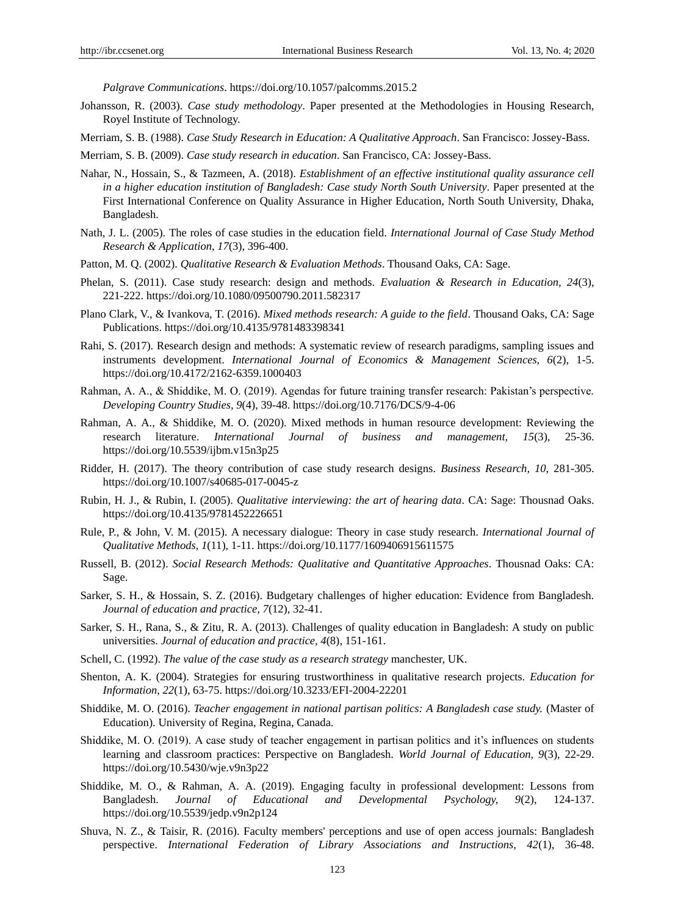*Palgrave Communications*. https://doi.org/10.1057/palcomms.2015.2

- <span id="page-10-11"></span>Johansson, R. (2003). *Case study methodology*. Paper presented at the Methodologies in Housing Research, Royel Institute of Technology.
- <span id="page-10-21"></span>Merriam, S. B. (1988). *Case Study Research in Education: A Qualitative Approach*. San Francisco: Jossey-Bass.

<span id="page-10-10"></span>Merriam, S. B. (2009). *Case study research in education*. San Francisco, CA: Jossey-Bass.

- <span id="page-10-9"></span>Nahar, N., Hossain, S., & Tazmeen, A. (2018). *Establishment of an effective institutional quality assurance cell in a higher education institution of Bangladesh: Case study North South University*. Paper presented at the First International Conference on Quality Assurance in Higher Education, North South University, Dhaka, Bangladesh.
- <span id="page-10-19"></span>Nath, J. L. (2005). The roles of case studies in the education field. *International Journal of Case Study Method Research & Application, 17*(3), 396-400.
- <span id="page-10-15"></span>Patton, M. Q. (2002). *Qualitative Research & Evaluation Methods*. Thousand Oaks, CA: Sage.
- <span id="page-10-13"></span>Phelan, S. (2011). Case study research: design and methods. *Evaluation & Research in Education, 24*(3), 221-222.<https://doi.org/10.1080/09500790.2011.582317>
- <span id="page-10-1"></span>Plano Clark, V., & Ivankova, T. (2016). *Mixed methods research: A guide to the field*. Thousand Oaks, CA: Sage Publications. https://doi.org/10.4135/9781483398341
- <span id="page-10-14"></span>Rahi, S. (2017). Research design and methods: A systematic review of research paradigms, sampling issues and instruments development. *International Journal of Economics & Management Sciences, 6*(2), 1-5. <https://doi.org/10.4172/2162-6359.1000403>
- <span id="page-10-2"></span>Rahman, A. A., & Shiddike, M. O. (2019). Agendas for future training transfer research: Pakistan's perspective. *Developing Country Studies, 9*(4), 39-48[. https://doi.org/10.7176/DCS/9-4-06](https://doi.org/10.7176/DCS/9-4-06)
- <span id="page-10-3"></span>Rahman, A. A., & Shiddike, M. O. (2020). Mixed methods in human resource development: Reviewing the research literature. *International Journal of business and management, 15*(3), 25-36. <https://doi.org/10.5539/ijbm.v15n3p25>
- <span id="page-10-16"></span>Ridder, H. (2017). The theory contribution of case study research designs. *Business Research, 10*, 281-305. <https://doi.org/10.1007/s40685-017-0045-z>
- <span id="page-10-20"></span>Rubin, H. J., & Rubin, I. (2005). *Qualitative interviewing: the art of hearing data*. CA: Sage: Thousnad Oaks. https://doi.org/10.4135/9781452226651
- <span id="page-10-17"></span>Rule, P., & John, V. M. (2015). A necessary dialogue: Theory in case study research. *International Journal of Qualitative Methods, 1*(11), 1-11.<https://doi.org/10.1177/1609406915611575>
- <span id="page-10-0"></span>Russell, B. (2012). *Social Research Methods: Qualitative and Quantitative Approaches*. Thousnad Oaks: CA: Sage.
- <span id="page-10-8"></span>Sarker, S. H., & Hossain, S. Z. (2016). Budgetary challenges of higher education: Evidence from Bangladesh. *Journal of education and practice, 7*(12), 32-41.
- <span id="page-10-7"></span>Sarker, S. H., Rana, S., & Zitu, R. A. (2013). Challenges of quality education in Bangladesh: A study on public universities. *Journal of education and practice, 4*(8), 151-161.
- <span id="page-10-12"></span>Schell, C. (1992). *The value of the case study as a research strategy* manchester, UK.
- <span id="page-10-22"></span>Shenton, A. K. (2004). Strategies for ensuring trustworthiness in qualitative research projects. *Education for Information, 22*(1), 63-75[. https://doi.org/10.3233/EFI-2004-22201](https://doi.org/10.3233/EFI-2004-22201)
- <span id="page-10-18"></span>Shiddike, M. O. (2016). *Teacher engagement in national partisan politics: A Bangladesh case study.* (Master of Education). University of Regina, Regina, Canada.
- <span id="page-10-5"></span>Shiddike, M. O. (2019). A case study of teacher engagement in partisan politics and it's influences on students learning and classroom practices: Perspective on Bangladesh. *World Journal of Education, 9*(3), 22-29. <https://doi.org/10.5430/wje.v9n3p22>
- <span id="page-10-4"></span>Shiddike, M. O., & Rahman, A. A. (2019). Engaging faculty in professional development: Lessons from Bangladesh. *Journal of Educational and Developmental Psychology, 9*(2), 124-137. <https://doi.org/10.5539/jedp.v9n2p124>
- <span id="page-10-6"></span>Shuva, N. Z., & Taisir, R. (2016). Faculty members' perceptions and use of open access journals: Bangladesh perspective. *International Federation of Library Associations and Instructions, 42*(1), 36-48.